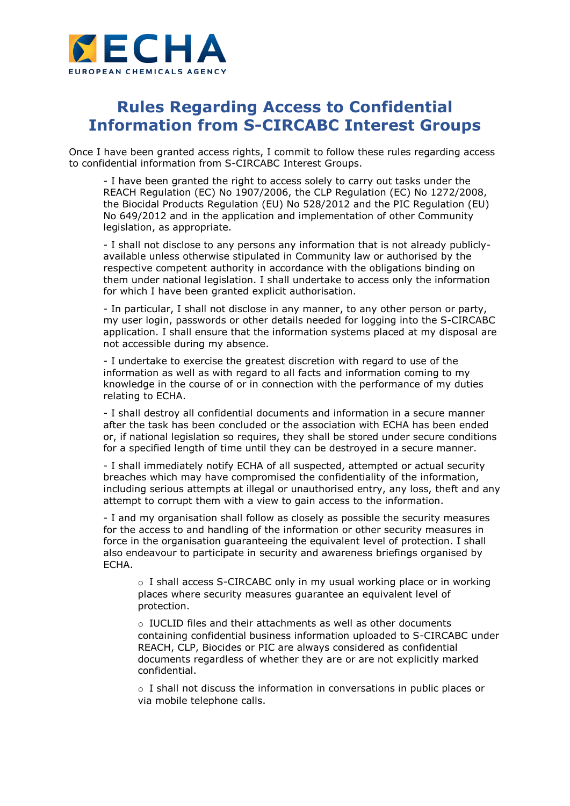

## **Rules Regarding Access to Confidential Information from S-CIRCABC Interest Groups**

Once I have been granted access rights, I commit to follow these rules regarding access to confidential information from S-CIRCABC Interest Groups.

- I have been granted the right to access solely to carry out tasks under the REACH Regulation (EC) No 1907/2006, the CLP Regulation (EC) No 1272/2008, the Biocidal Products Regulation (EU) No 528/2012 and the PIC Regulation (EU) No 649/2012 and in the application and implementation of other Community legislation, as appropriate.

- I shall not disclose to any persons any information that is not already publiclyavailable unless otherwise stipulated in Community law or authorised by the respective competent authority in accordance with the obligations binding on them under national legislation. I shall undertake to access only the information for which I have been granted explicit authorisation.

- In particular, I shall not disclose in any manner, to any other person or party, my user login, passwords or other details needed for logging into the S-CIRCABC application. I shall ensure that the information systems placed at my disposal are not accessible during my absence.

- I undertake to exercise the greatest discretion with regard to use of the information as well as with regard to all facts and information coming to my knowledge in the course of or in connection with the performance of my duties relating to ECHA.

- I shall destroy all confidential documents and information in a secure manner after the task has been concluded or the association with ECHA has been ended or, if national legislation so requires, they shall be stored under secure conditions for a specified length of time until they can be destroyed in a secure manner.

- I shall immediately notify ECHA of all suspected, attempted or actual security breaches which may have compromised the confidentiality of the information, including serious attempts at illegal or unauthorised entry, any loss, theft and any attempt to corrupt them with a view to gain access to the information.

- I and my organisation shall follow as closely as possible the security measures for the access to and handling of the information or other security measures in force in the organisation guaranteeing the equivalent level of protection. I shall also endeavour to participate in security and awareness briefings organised by ECHA.

 $\circ$  I shall access S-CIRCABC only in my usual working place or in working places where security measures guarantee an equivalent level of protection.

o IUCLID files and their attachments as well as other documents containing confidential business information uploaded to S-CIRCABC under REACH, CLP, Biocides or PIC are always considered as confidential documents regardless of whether they are or are not explicitly marked confidential.

 $\circ$  I shall not discuss the information in conversations in public places or via mobile telephone calls.